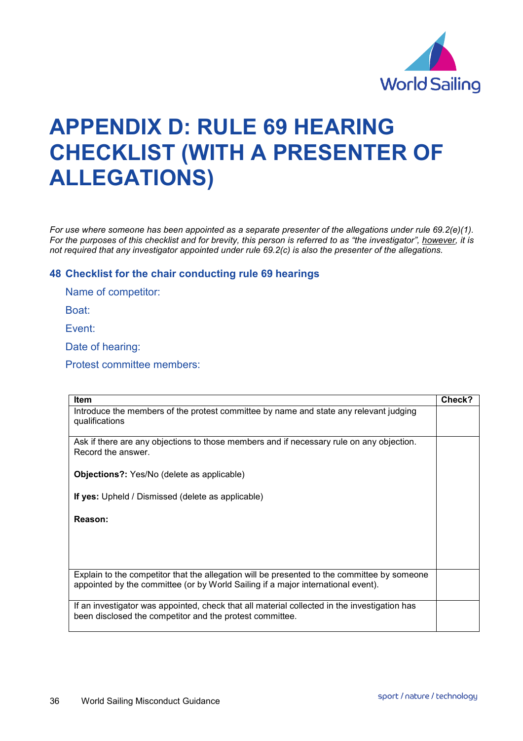

## **APPENDIX D: RULE 69 HEARING CHECKLIST (WITH A PRESENTER OF ALLEGATIONS)**

*For use where someone has been appointed as a separate presenter of the allegations under rule 69.2(e)(1). For the purposes of this checklist and for brevity, this person is referred to as "the investigator", however, it is not required that any investigator appointed under rule 69.2(c) is also the presenter of the allegations.*

## **48 Checklist for the chair conducting rule 69 hearings**

Name of competitor:

Boat:

Event:

Date of hearing:

Protest committee members:

| <b>Item</b>                                                                                                                                                                     | Check? |
|---------------------------------------------------------------------------------------------------------------------------------------------------------------------------------|--------|
| Introduce the members of the protest committee by name and state any relevant judging<br>qualifications                                                                         |        |
| Ask if there are any objections to those members and if necessary rule on any objection.<br>Record the answer.                                                                  |        |
| <b>Objections?:</b> Yes/No (delete as applicable)                                                                                                                               |        |
| If yes: Upheld / Dismissed (delete as applicable)                                                                                                                               |        |
| Reason:                                                                                                                                                                         |        |
|                                                                                                                                                                                 |        |
|                                                                                                                                                                                 |        |
| Explain to the competitor that the allegation will be presented to the committee by someone<br>appointed by the committee (or by World Sailing if a major international event). |        |
| If an investigator was appointed, check that all material collected in the investigation has<br>been disclosed the competitor and the protest committee.                        |        |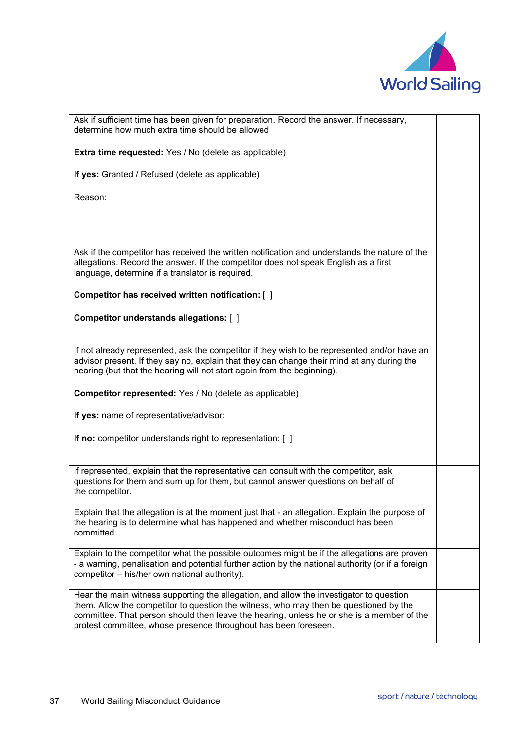

| Ask if sufficient time has been given for preparation. Record the answer. If necessary,<br>determine how much extra time should be allowed                                                                                                                                                                                                       |  |
|--------------------------------------------------------------------------------------------------------------------------------------------------------------------------------------------------------------------------------------------------------------------------------------------------------------------------------------------------|--|
| Extra time requested: Yes / No (delete as applicable)                                                                                                                                                                                                                                                                                            |  |
| If yes: Granted / Refused (delete as applicable)                                                                                                                                                                                                                                                                                                 |  |
| Reason:                                                                                                                                                                                                                                                                                                                                          |  |
|                                                                                                                                                                                                                                                                                                                                                  |  |
|                                                                                                                                                                                                                                                                                                                                                  |  |
| Ask if the competitor has received the written notification and understands the nature of the<br>allegations. Record the answer. If the competitor does not speak English as a first<br>language, determine if a translator is required.                                                                                                         |  |
| Competitor has received written notification: [ ]                                                                                                                                                                                                                                                                                                |  |
| Competitor understands allegations: [ ]                                                                                                                                                                                                                                                                                                          |  |
| If not already represented, ask the competitor if they wish to be represented and/or have an<br>advisor present. If they say no, explain that they can change their mind at any during the<br>hearing (but that the hearing will not start again from the beginning).                                                                            |  |
| Competitor represented: Yes / No (delete as applicable)                                                                                                                                                                                                                                                                                          |  |
| If yes: name of representative/advisor:                                                                                                                                                                                                                                                                                                          |  |
| <b>If no:</b> competitor understands right to representation: [ ]                                                                                                                                                                                                                                                                                |  |
| If represented, explain that the representative can consult with the competitor, ask<br>questions for them and sum up for them, but cannot answer questions on behalf of<br>the competitor.                                                                                                                                                      |  |
| Explain that the allegation is at the moment just that - an allegation. Explain the purpose of<br>the hearing is to determine what has happened and whether misconduct has been<br>committed.                                                                                                                                                    |  |
| Explain to the competitor what the possible outcomes might be if the allegations are proven<br>- a warning, penalisation and potential further action by the national authority (or if a foreign<br>competitor - his/her own national authority).                                                                                                |  |
| Hear the main witness supporting the allegation, and allow the investigator to question<br>them. Allow the competitor to question the witness, who may then be questioned by the<br>committee. That person should then leave the hearing, unless he or she is a member of the<br>protest committee, whose presence throughout has been foreseen. |  |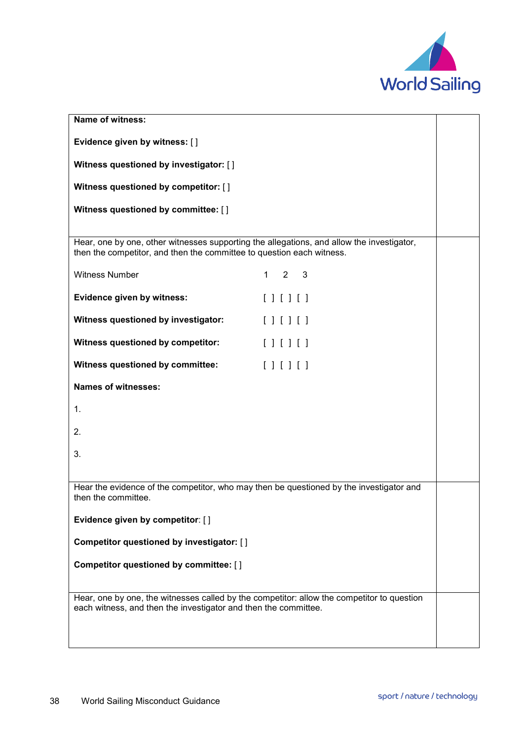

| Name of witness:                                                                                                                                                   |  |
|--------------------------------------------------------------------------------------------------------------------------------------------------------------------|--|
| Evidence given by witness: []                                                                                                                                      |  |
| Witness questioned by investigator: []                                                                                                                             |  |
| Witness questioned by competitor: []                                                                                                                               |  |
| Witness questioned by committee: []                                                                                                                                |  |
|                                                                                                                                                                    |  |
| Hear, one by one, other witnesses supporting the allegations, and allow the investigator,<br>then the competitor, and then the committee to question each witness. |  |
| <b>Witness Number</b><br>$1 \quad 2 \quad 3$                                                                                                                       |  |
| Evidence given by witness:<br>[                                                                                                                                    |  |
| Witness questioned by investigator:<br>[                                                                                                                           |  |
| Witness questioned by competitor:<br>$[ ] [ ] [ ]$                                                                                                                 |  |
| Witness questioned by committee:<br>[                                                                                                                              |  |
| <b>Names of witnesses:</b>                                                                                                                                         |  |
| 1.                                                                                                                                                                 |  |
| 2.                                                                                                                                                                 |  |
| 3.                                                                                                                                                                 |  |
|                                                                                                                                                                    |  |
| Hear the evidence of the competitor, who may then be questioned by the investigator and<br>then the committee.                                                     |  |
| Evidence given by competitor: []                                                                                                                                   |  |
| Competitor questioned by investigator: []                                                                                                                          |  |
| Competitor questioned by committee: []                                                                                                                             |  |
|                                                                                                                                                                    |  |
| Hear, one by one, the witnesses called by the competitor: allow the competitor to question                                                                         |  |
| each witness, and then the investigator and then the committee.                                                                                                    |  |
|                                                                                                                                                                    |  |
|                                                                                                                                                                    |  |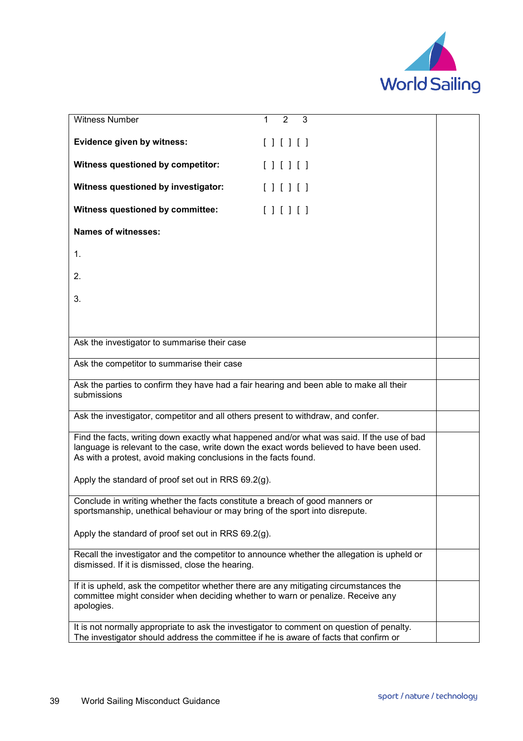

| Witness Number                                                                                                                                                                                                                                            | 3<br>$\mathcal{P}$  |  |
|-----------------------------------------------------------------------------------------------------------------------------------------------------------------------------------------------------------------------------------------------------------|---------------------|--|
|                                                                                                                                                                                                                                                           |                     |  |
| Evidence given by witness:                                                                                                                                                                                                                                | $[ \ ] [ \ ] [ \ ]$ |  |
| Witness questioned by competitor:                                                                                                                                                                                                                         | [  ] [  ] [  ] [  ] |  |
| Witness questioned by investigator:                                                                                                                                                                                                                       | [ ] [ ] [ ] [ ]     |  |
| Witness questioned by committee:                                                                                                                                                                                                                          | [ ] [ ] [ ]         |  |
| <b>Names of witnesses:</b>                                                                                                                                                                                                                                |                     |  |
| 1.                                                                                                                                                                                                                                                        |                     |  |
| 2.                                                                                                                                                                                                                                                        |                     |  |
| 3.                                                                                                                                                                                                                                                        |                     |  |
|                                                                                                                                                                                                                                                           |                     |  |
|                                                                                                                                                                                                                                                           |                     |  |
| Ask the investigator to summarise their case                                                                                                                                                                                                              |                     |  |
| Ask the competitor to summarise their case                                                                                                                                                                                                                |                     |  |
| Ask the parties to confirm they have had a fair hearing and been able to make all their<br>submissions                                                                                                                                                    |                     |  |
| Ask the investigator, competitor and all others present to withdraw, and confer.                                                                                                                                                                          |                     |  |
| Find the facts, writing down exactly what happened and/or what was said. If the use of bad<br>language is relevant to the case, write down the exact words believed to have been used.<br>As with a protest, avoid making conclusions in the facts found. |                     |  |
| Apply the standard of proof set out in RRS 69.2(g).                                                                                                                                                                                                       |                     |  |
| Conclude in writing whether the facts constitute a breach of good manners or<br>sportsmanship, unethical behaviour or may bring of the sport into disrepute.                                                                                              |                     |  |
| Apply the standard of proof set out in RRS 69.2(g).                                                                                                                                                                                                       |                     |  |
| Recall the investigator and the competitor to announce whether the allegation is upheld or<br>dismissed. If it is dismissed, close the hearing.                                                                                                           |                     |  |
| If it is upheld, ask the competitor whether there are any mitigating circumstances the<br>committee might consider when deciding whether to warn or penalize. Receive any<br>apologies.                                                                   |                     |  |
| It is not normally appropriate to ask the investigator to comment on question of penalty.<br>The investigator should address the committee if he is aware of facts that confirm or                                                                        |                     |  |